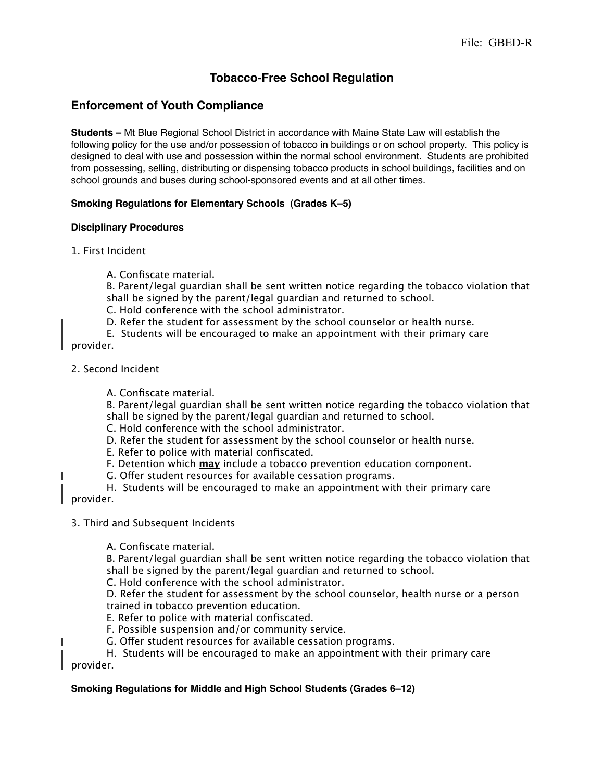# **Tobacco-Free School Regulation**

## **Enforcement of Youth Compliance**

**Students –** Mt Blue Regional School District in accordance with Maine State Law will establish the following policy for the use and/or possession of tobacco in buildings or on school property. This policy is designed to deal with use and possession within the normal school environment. Students are prohibited from possessing, selling, distributing or dispensing tobacco products in school buildings, facilities and on school grounds and buses during school-sponsored events and at all other times.

## **Smoking Regulations for Elementary Schools (Grades K–5)**

## **Disciplinary Procedures**

- 1. First Incident
	- A. Confiscate material.

B. Parent/legal guardian shall be sent written notice regarding the tobacco violation that shall be signed by the parent/legal guardian and returned to school.

- C. Hold conference with the school administrator.
- D. Refer the student for assessment by the school counselor or health nurse.
- E. Students will be encouraged to make an appointment with their primary care provider.
- 2. Second Incident

П

Π

A. Confiscate material.

B. Parent/legal guardian shall be sent written notice regarding the tobacco violation that shall be signed by the parent/legal guardian and returned to school.

- C. Hold conference with the school administrator.
- D. Refer the student for assessment by the school counselor or health nurse.
- E. Refer to police with material confiscated.
- F. Detention which **may** include a tobacco prevention education component.
- G. Offer student resources for available cessation programs.
- H. Students will be encouraged to make an appointment with their primary care provider.
- 3. Third and Subsequent Incidents
	- A. Confiscate material.

B. Parent/legal guardian shall be sent written notice regarding the tobacco violation that shall be signed by the parent/legal guardian and returned to school.

C. Hold conference with the school administrator.

D. Refer the student for assessment by the school counselor, health nurse or a person trained in tobacco prevention education.

- E. Refer to police with material confiscated.
- F. Possible suspension and/or community service.
- G. Offer student resources for available cessation programs.

#### H. Students will be encouraged to make an appointment with their primary care provider.

## **Smoking Regulations for Middle and High School Students (Grades 6–12)**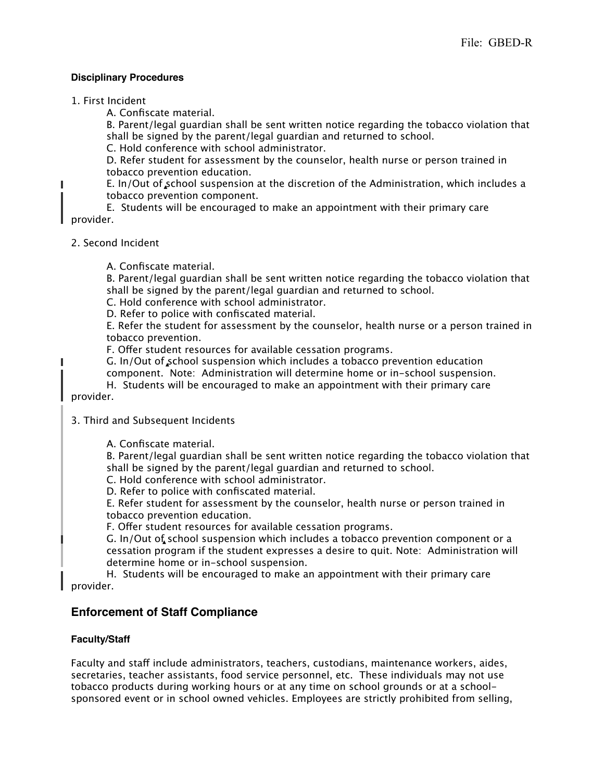#### **Disciplinary Procedures**

1. First Incident

П

П

A. Confiscate material.

B. Parent/legal guardian shall be sent written notice regarding the tobacco violation that shall be signed by the parent/legal guardian and returned to school.

C. Hold conference with school administrator.

D. Refer student for assessment by the counselor, health nurse or person trained in tobacco prevention education.

E. In/Out of  $s$ chool suspension at the discretion of the Administration, which includes a tobacco prevention component.

E. Students will be encouraged to make an appointment with their primary care provider.

- 2. Second Incident
	- A. Confiscate material.

B. Parent/legal guardian shall be sent written notice regarding the tobacco violation that shall be signed by the parent/legal guardian and returned to school.

C. Hold conference with school administrator.

D. Refer to police with confiscated material.

E. Refer the student for assessment by the counselor, health nurse or a person trained in tobacco prevention.

F. Offer student resources for available cessation programs.

G. In/Out of school suspension which includes a tobacco prevention education

component. Note: Administration will determine home or in-school suspension.

H. Students will be encouraged to make an appointment with their primary care provider.

## 3. Third and Subsequent Incidents

A. Confiscate material.

B. Parent/legal guardian shall be sent written notice regarding the tobacco violation that shall be signed by the parent/legal guardian and returned to school.

C. Hold conference with school administrator.

D. Refer to police with confiscated material.

E. Refer student for assessment by the counselor, health nurse or person trained in tobacco prevention education.

F. Offer student resources for available cessation programs.

G. In/Out of school suspension which includes a tobacco prevention component or a cessation program if the student expresses a desire to quit. Note: Administration will determine home or in-school suspension.

H. Students will be encouraged to make an appointment with their primary care provider.

## **Enforcement of Staff Compliance**

## **Faculty/Staff**

Faculty and staff include administrators, teachers, custodians, maintenance workers, aides, secretaries, teacher assistants, food service personnel, etc. These individuals may not use tobacco products during working hours or at any time on school grounds or at a schoolsponsored event or in school owned vehicles. Employees are strictly prohibited from selling,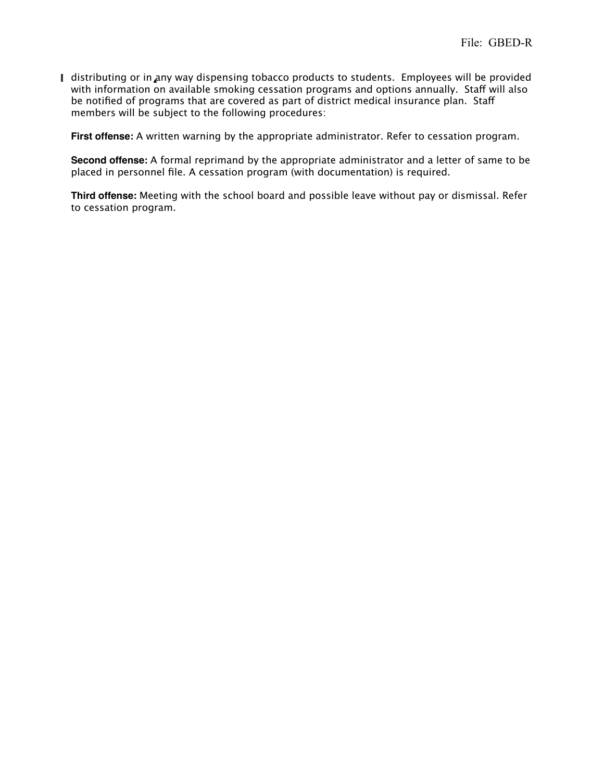I distributing or in any way dispensing tobacco products to students. Employees will be provided with information on available smoking cessation programs and options annually. Staff will also be notified of programs that are covered as part of district medical insurance plan. Staff members will be subject to the following procedures:

**First offense:** A written warning by the appropriate administrator. Refer to cessation program.

**Second offense:** A formal reprimand by the appropriate administrator and a letter of same to be placed in personnel file. A cessation program (with documentation) is required.

**Third offense:** Meeting with the school board and possible leave without pay or dismissal. Refer to cessation program.